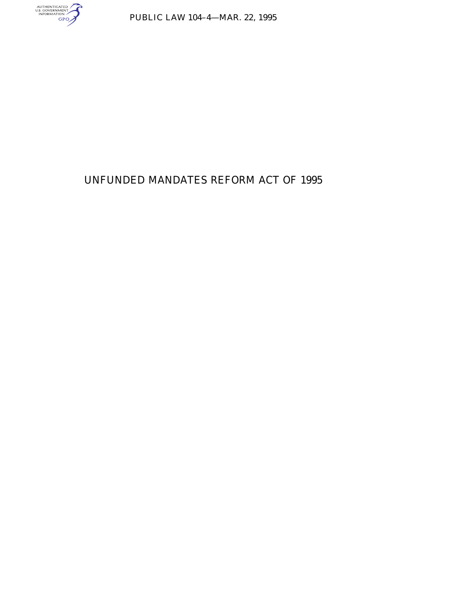

PUBLIC LAW 104–4—MAR. 22, 1995

# UNFUNDED MANDATES REFORM ACT OF 1995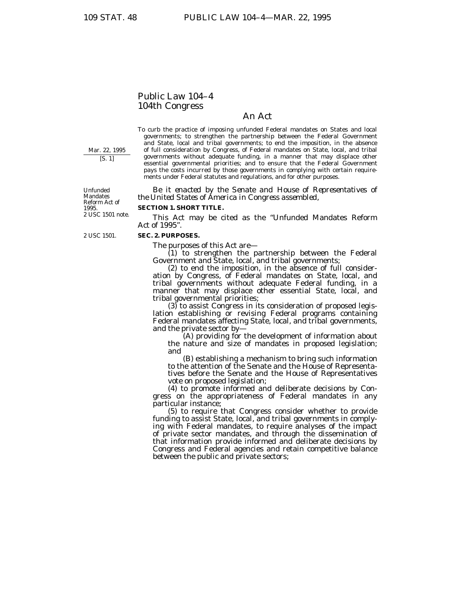### Public Law 104–4 104th Congress

### An Act

To curb the practice of imposing unfunded Federal mandates on States and local governments; to strengthen the partnership between the Federal Government and State, local and tribal governments; to end the imposition, in the absence of full consideration by Congress, of Federal mandates on State, local, and tribal governments without adequate funding, in a manner that may displace other essential governmental priorities; and to ensure that the Federal Government pays the costs incurred by those governments in complying with certain requirements under Federal statutes and regulations, and for other purposes.

*Be it enacted by the Senate and House of Representatives of the United States of America in Congress assembled,*

Mar. 22, 1995 [S. 1]

#### **SECTION 1. SHORT TITLE.**

This Act may be cited as the ''Unfunded Mandates Reform Act of 1995''.

#### **SEC. 2. PURPOSES.**

The purposes of this Act are—

(1) to strengthen the partnership between the Federal Government and State, local, and tribal governments;

 $(2)$  to end the imposition, in the absence of full consideration by Congress, of Federal mandates on State, local, and tribal governments without adequate Federal funding, in a manner that may displace other essential State, local, and tribal governmental priorities;

(3) to assist Congress in its consideration of proposed legislation establishing or revising Federal programs containing Federal mandates affecting State, local, and tribal governments, and the private sector by—

(A) providing for the development of information about the nature and size of mandates in proposed legislation; and

(B) establishing a mechanism to bring such information to the attention of the Senate and the House of Representatives before the Senate and the House of Representatives vote on proposed legislation;

(4) to promote informed and deliberate decisions by Congress on the appropriateness of Federal mandates in any particular instance;

(5) to require that Congress consider whether to provide funding to assist State, local, and tribal governments in complying with Federal mandates, to require analyses of the impact of private sector mandates, and through the dissemination of that information provide informed and deliberate decisions by Congress and Federal agencies and retain competitive balance between the public and private sectors;

2 USC 1501 note. Unfunded Mandates Reform Act of 1995.

2 USC 1501.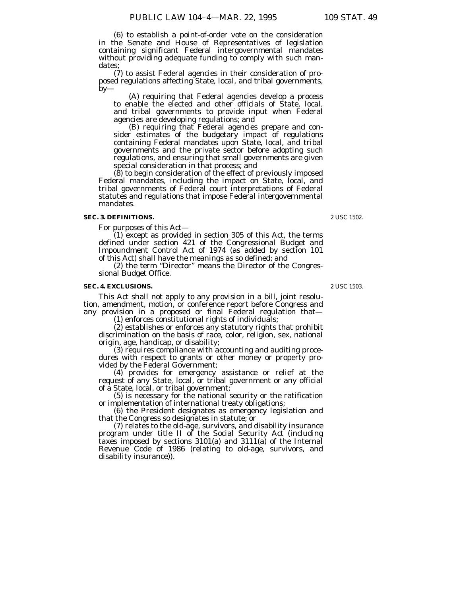(6) to establish a point-of-order vote on the consideration in the Senate and House of Representatives of legislation containing significant Federal intergovernmental mandates without providing adequate funding to comply with such mandates

(7) to assist Federal agencies in their consideration of proposed regulations affecting State, local, and tribal governments,  $by-$ 

(A) requiring that Federal agencies develop a process to enable the elected and other officials of State, local, and tribal governments to provide input when Federal agencies are developing regulations; and

(B) requiring that Federal agencies prepare and consider estimates of the budgetary impact of regulations containing Federal mandates upon State, local, and tribal governments and the private sector before adopting such regulations, and ensuring that small governments are given special consideration in that process; and

(8) to begin consideration of the effect of previously imposed Federal mandates, including the impact on State, local, and tribal governments of Federal court interpretations of Federal statutes and regulations that impose Federal intergovernmental mandates.

#### **SEC. 3. DEFINITIONS.**

For purposes of this Act—

(1) except as provided in section 305 of this Act, the terms defined under section 421 of the Congressional Budget and Impoundment Control Act of 1974 (as added by section 101 of this Act) shall have the meanings as so defined; and

(2) the term ''Director'' means the Director of the Congressional Budget Office.

#### **SEC. 4. EXCLUSIONS.**

This Act shall not apply to any provision in a bill, joint resolution, amendment, motion, or conference report before Congress and any provision in a proposed or final Federal regulation that—

(1) enforces constitutional rights of individuals;

(2) establishes or enforces any statutory rights that prohibit discrimination on the basis of race, color, religion, sex, national origin, age, handicap, or disability;

(3) requires compliance with accounting and auditing procedures with respect to grants or other money or property provided by the Federal Government;

(4) provides for emergency assistance or relief at the request of any State, local, or tribal government or any official of a State, local, or tribal government;

(5) is necessary for the national security or the ratification or implementation of international treaty obligations;

(6) the President designates as emergency legislation and that the Congress so designates in statute; or

(7) relates to the old-age, survivors, and disability insurance program under title II of the Social Security Act (including taxes imposed by sections 3101(a) and 3111(a) of the Internal Revenue Code of 1986 (relating to old-age, survivors, and disability insurance)).

2 USC 1503.

2 USC 1502.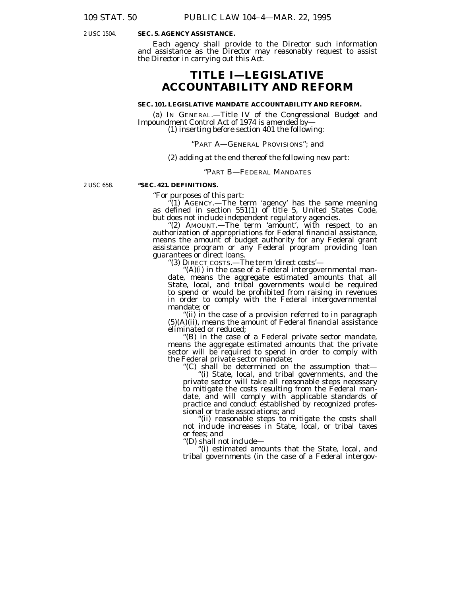2 USC 1504.

#### **SEC. 5. AGENCY ASSISTANCE.**

Each agency shall provide to the Director such information and assistance as the Director may reasonably request to assist the Director in carrying out this Act.

## **TITLE I—LEGISLATIVE ACCOUNTABILITY AND REFORM**

#### **SEC. 101. LEGISLATIVE MANDATE ACCOUNTABILITY AND REFORM.**

(a) IN GENERAL.—Title IV of the Congressional Budget and Impoundment Control Act of 1974 is amended by— (1) inserting before section 401 the following:

''PART A—GENERAL PROVISIONS''; and

(2) adding at the end thereof the following new part:

#### ''PART B—FEDERAL MANDATES

2 USC 658.

### **''SEC. 421. DEFINITIONS.**

''For purposes of this part: ''(1) AGENCY.—The term 'agency' has the same meaning as defined in section 551(1) of title 5, United States Code, but does not include independent regulatory agencies. ''(2) AMOUNT.—The term 'amount', with respect to an

authorization of appropriations for Federal financial assistance, means the amount of budget authority for any Federal grant assistance program or any Federal program providing loan guarantees or direct loans.

"(3) DIRECT COSTS.—The term 'direct costs'—<br>"(A)(i) in the case of a Federal intergovernmental man-''(A)(i) in the case of a Federal intergovernmental man- date, means the aggregate estimated amounts that all State, local, and tribal governments would be required to spend or would be prohibited from raising in revenues in order to comply with the Federal intergovernmental mandate; or<br>"(ii) in the case of a provision referred to in paragraph

 $(5)(A)(ii)$ , means the amount of Federal financial assistance eliminated or reduced;

''(B) in the case of a Federal private sector mandate, means the aggregate estimated amounts that the private sector will be required to spend in order to comply with the Federal private sector mandate;

"(C) shall be determined on the assumption that—<br>"(i) State, local, and tribal governments, and the private sector will take all reasonable steps necessary to mitigate the costs resulting from the Federal mandate, and will comply with applicable standards of practice and conduct established by recognized profes-

sional or trade associations; and<br>"(ii) reasonable steps to mitigate the costs shall not include increases in State, local, or tribal taxes or fees; and

''(D) shall not include—

(i) estimated amounts that the State, local, and tribal governments (in the case of a Federal intergov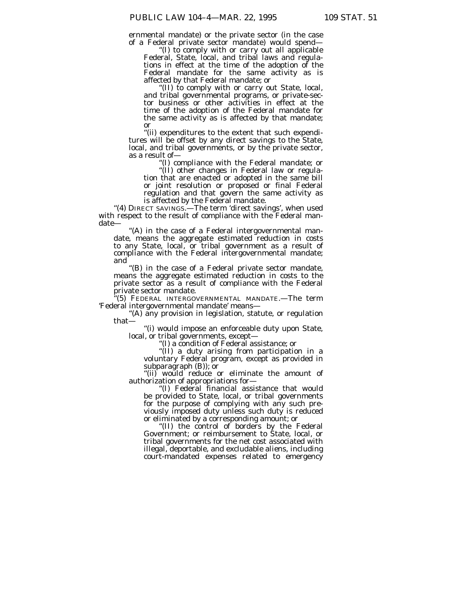ernmental mandate) or the private sector (in the case of a Federal private sector mandate) would spend—

''(I) to comply with or carry out all applicable Federal, State, local, and tribal laws and regulations in effect at the time of the adoption of the Federal mandate for the same activity as is

affected by that Federal mandate; or ''(II) to comply with or carry out State, local, and tribal governmental programs, or private-sector business or other activities in effect at the time of the adoption of the Federal mandate for the same activity as is affected by that mandate; or

''(ii) expenditures to the extent that such expenditures will be offset by any direct savings to the State, local, and tribal governments, or by the private sector, as a result of—

''(I) compliance with the Federal mandate; or

"(II) other changes in Federal law or regulation that are enacted or adopted in the same bill or joint resolution or proposed or final Federal regulation and that govern the same activity as is affected by the Federal mandate.

"(4) DIRECT SAVINGS.—The term 'direct savings', when used with respect to the result of compliance with the Federal mandate—

''(A) in the case of a Federal intergovernmental mandate, means the aggregate estimated reduction in costs to any State, local, or tribal government as a result of compliance with the Federal intergovernmental mandate; and

''(B) in the case of a Federal private sector mandate, means the aggregate estimated reduction in costs to the private sector as a result of compliance with the Federal private sector mandate.

''(5) FEDERAL INTERGOVERNMENTAL MANDATE.—The term 'Federal intergovernmental mandate' means—

'(A) any provision in legislation, statute, or regulation that—

''(i) would impose an enforceable duty upon State, local, or tribal governments, except—

''(I) a condition of Federal assistance; or

''(II) a duty arising from participation in a voluntary Federal program, except as provided in subparagraph (B)); or

''(ii) would reduce or eliminate the amount of authorization of appropriations for—

''(I) Federal financial assistance that would be provided to State, local, or tribal governments for the purpose of complying with any such previously imposed duty unless such duty is reduced or eliminated by a corresponding amount; or

''(II) the control of borders by the Federal Government; or reimbursement to State, local, or tribal governments for the net cost associated with illegal, deportable, and excludable aliens, including court-mandated expenses related to emergency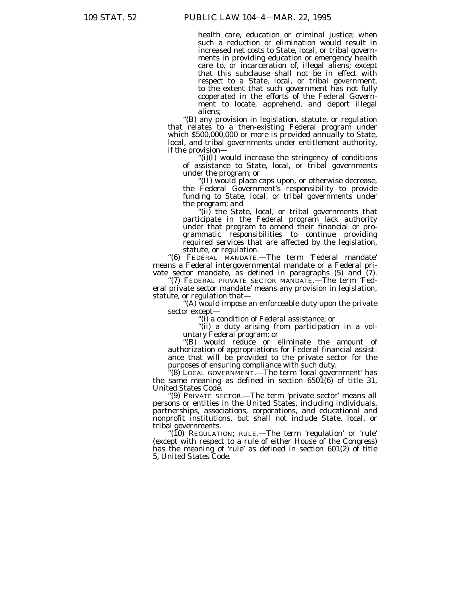health care, education or criminal justice; when such a reduction or elimination would result in increased net costs to State, local, or tribal governments in providing education or emergency health care to, or incarceration of, illegal aliens; except that this subclause shall not be in effect with respect to a State, local, or tribal government, to the extent that such government has not fully cooperated in the efforts of the Federal Government to locate, apprehend, and deport illegal aliens;

''(B) any provision in legislation, statute, or regulation that relates to a then-existing Federal program under which \$500,000,000 or more is provided annually to State, local, and tribal governments under entitlement authority, if the provision—

 $''(i)(I)$  would increase the stringency of conditions of assistance to State, local, or tribal governments under the program; or

''(II) would place caps upon, or otherwise decrease, the Federal Government's responsibility to provide funding to State, local, or tribal governments under the program; and

(ii) the State, local, or tribal governments that participate in the Federal program lack authority under that program to amend their financial or programmatic responsibilities to continue providing required services that are affected by the legislation, statute, or regulation.

''(6) FEDERAL MANDATE.—The term 'Federal mandate' means a Federal intergovernmental mandate or a Federal private sector mandate, as defined in paragraphs (5) and (7).

'(7) FEDERAL PRIVATE SECTOR MANDATE.—The term 'Federal private sector mandate' means any provision in legislation, statute, or regulation that—

''(A) would impose an enforceable duty upon the private sector except—

''(i) a condition of Federal assistance; or

"(ii) a duty arising from participation in a voluntary Federal program; or

''(B) would reduce or eliminate the amount of authorization of appropriations for Federal financial assistance that will be provided to the private sector for the purposes of ensuring compliance with such duty.

''(8) LOCAL GOVERNMENT.—The term 'local government' has the same meaning as defined in section 6501(6) of title 31, United States Code.

''(9) PRIVATE SECTOR.—The term 'private sector' means all persons or entities in the United States, including individuals, partnerships, associations, corporations, and educational and nonprofit institutions, but shall not include State, local, or tribal governments.

"(I0) REGULATION; RULE.—The term 'regulation' or 'rule' (except with respect to a rule of either House of the Congress) has the meaning of 'rule' as defined in section 601(2) of title 5, United States Code.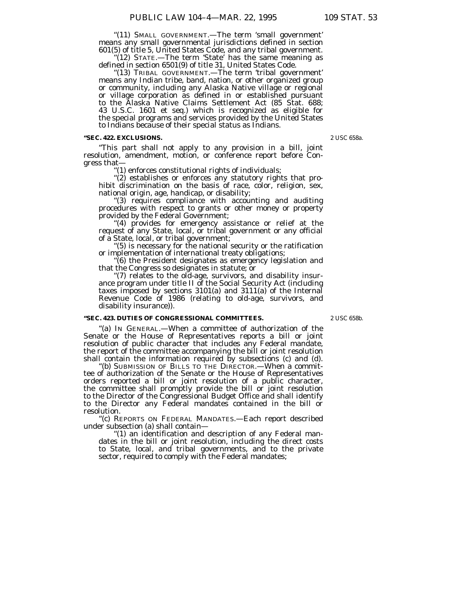''(11) SMALL GOVERNMENT.—The term 'small government' means any small governmental jurisdictions defined in section

601(5) of title 5, United States Code, and any tribal government. ''(12) STATE.—The term 'State' has the same meaning as defined in section 6501(9) of title 31, United States Code.

''(13) TRIBAL GOVERNMENT.—The term 'tribal government' means any Indian tribe, band, nation, or other organized group or community, including any Alaska Native village or regional or village corporation as defined in or established pursuant to the Alaska Native Claims Settlement Act (85 Stat. 688; 43 U.S.C. 1601 et seq.) which is recognized as eligible for the special programs and services provided by the United States to Indians because of their special status as Indians.

#### **''SEC. 422. EXCLUSIONS.**

''This part shall not apply to any provision in a bill, joint resolution, amendment, motion, or conference report before Congress that—

(1) enforces constitutional rights of individuals;

"(2) establishes or enforces any statutory rights that prohibit discrimination on the basis of race, color, religion, sex, national origin, age, handicap, or disability;

''(3) requires compliance with accounting and auditing procedures with respect to grants or other money or property provided by the Federal Government;

''(4) provides for emergency assistance or relief at the request of any State, local, or tribal government or any official of a State, local, or tribal government;

''(5) is necessary for the national security or the ratification or implementation of international treaty obligations;

''(6) the President designates as emergency legislation and that the Congress so designates in statute; or

"(7) relates to the old-age, survivors, and disability insurance program under title II of the Social Security Act (including taxes imposed by sections 3101(a) and 3111(a) of the Internal Revenue Code of 1986 (relating to old-age, survivors, and disability insurance)).

#### **''SEC. 423. DUTIES OF CONGRESSIONAL COMMITTEES.**

''(a) IN GENERAL.—When a committee of authorization of the Senate or the House of Representatives reports a bill or joint resolution of public character that includes any Federal mandate, the report of the committee accompanying the bill or joint resolution shall contain the information required by subsections (c) and (d).

''(b) SUBMISSION OF BILLS TO THE DIRECTOR.—When a committee of authorization of the Senate or the House of Representatives orders reported a bill or joint resolution of a public character, the committee shall promptly provide the bill or joint resolution to the Director of the Congressional Budget Office and shall identify to the Director any Federal mandates contained in the bill or resolution.

''(c) REPORTS ON FEDERAL MANDATES.—Each report described under subsection (a) shall contain—

''(1) an identification and description of any Federal mandates in the bill or joint resolution, including the direct costs to State, local, and tribal governments, and to the private sector, required to comply with the Federal mandates;

2 USC 658a.

2 USC 658b.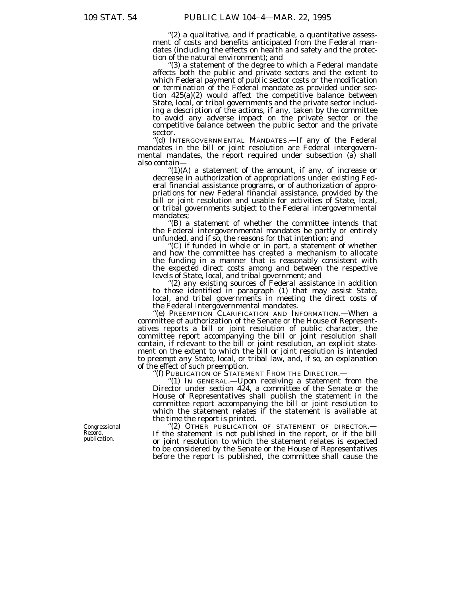''(2) a qualitative, and if practicable, a quantitative assessment of costs and benefits anticipated from the Federal mandates (including the effects on health and safety and the protection of the natural environment); and

''(3) a statement of the degree to which a Federal mandate affects both the public and private sectors and the extent to which Federal payment of public sector costs or the modification or termination of the Federal mandate as provided under section 425(a)(2) would affect the competitive balance between State, local, or tribal governments and the private sector including a description of the actions, if any, taken by the committee to avoid any adverse impact on the private sector or the competitive balance between the public sector and the private sector.

''(d) INTERGOVERNMENTAL MANDATES.—If any of the Federal mandates in the bill or joint resolution are Federal intergovernmental mandates, the report required under subsection (a) shall also contain—

 $f(1)(A)$  a statement of the amount, if any, of increase or decrease in authorization of appropriations under existing Federal financial assistance programs, or of authorization of appropriations for new Federal financial assistance, provided by the bill or joint resolution and usable for activities of State, local, or tribal governments subject to the Federal intergovernmental mandates;

''(B) a statement of whether the committee intends that the Federal intergovernmental mandates be partly or entirely unfunded, and if so, the reasons for that intention; and

 $C(C)$  if funded in whole or in part, a statement of whether and how the committee has created a mechanism to allocate the funding in a manner that is reasonably consistent with the expected direct costs among and between the respective levels of State, local, and tribal government; and

''(2) any existing sources of Federal assistance in addition to those identified in paragraph (1) that may assist State, local, and tribal governments in meeting the direct costs of the Federal intergovernmental mandates.

''(e) PREEMPTION CLARIFICATION AND INFORMATION.—When a committee of authorization of the Senate or the House of Representatives reports a bill or joint resolution of public character, the committee report accompanying the bill or joint resolution shall contain, if relevant to the bill or joint resolution, an explicit statement on the extent to which the bill or joint resolution is intended to preempt any State, local, or tribal law, and, if so, an explanation of the effect of such preemption.

''(f) PUBLICATION OF STATEMENT FROM THE DIRECTOR.—

''(1) IN GENERAL.—Upon receiving a statement from the Director under section 424, a committee of the Senate or the House of Representatives shall publish the statement in the committee report accompanying the bill or joint resolution to which the statement relates if the statement is available at the time the report is printed.

'(2) OTHER PUBLICATION OF STATEMENT OF DIRECTOR.-If the statement is not published in the report, or if the bill or joint resolution to which the statement relates is expected to be considered by the Senate or the House of Representatives before the report is published, the committee shall cause the

Congressional Record, publication.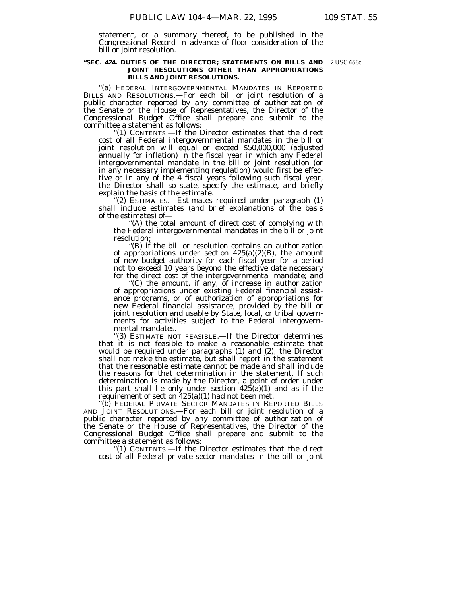statement, or a summary thereof, to be published in the Congressional Record in advance of floor consideration of the bill or joint resolution.

#### **''SEC. 424. DUTIES OF THE DIRECTOR; STATEMENTS ON BILLS AND** 2 USC 658c.**JOINT RESOLUTIONS OTHER THAN APPROPRIATIONS BILLS AND JOINT RESOLUTIONS.**

''(a) FEDERAL INTERGOVERNMENTAL MANDATES IN REPORTED BILLS AND RESOLUTIONS.—For each bill or joint resolution of a public character reported by any committee of authorization of the Senate or the House of Representatives, the Director of the Congressional Budget Office shall prepare and submit to the committee a statement as follows:

 $'(1)$  CONTENTS.—If the Director estimates that the direct cost of all Federal intergovernmental mandates in the bill or joint resolution will equal or exceed \$50,000,000 (adjusted annually for inflation) in the fiscal year in which any Federal intergovernmental mandate in the bill or joint resolution (or in any necessary implementing regulation) would first be effective or in any of the 4 fiscal years following such fiscal year, the Director shall so state, specify the estimate, and briefly explain the basis of the estimate.

'(2) ESTIMATES.—Estimates required under paragraph (1) shall include estimates (and brief explanations of the basis of the estimates) of—

''(A) the total amount of direct cost of complying with the Federal intergovernmental mandates in the bill or joint resolution;

''(B) if the bill or resolution contains an authorization of appropriations under section  $425(a)(2)(B)$ , the amount of new budget authority for each fiscal year for a period not to exceed 10 years beyond the effective date necessary for the direct cost of the intergovernmental mandate; and

''(C) the amount, if any, of increase in authorization of appropriations under existing Federal financial assistance programs, or of authorization of appropriations for new Federal financial assistance, provided by the bill or joint resolution and usable by State, local, or tribal governments for activities subject to the Federal intergovernmental mandates.

''(3) ESTIMATE NOT FEASIBLE.—If the Director determines that it is not feasible to make a reasonable estimate that would be required under paragraphs (1) and (2), the Director shall not make the estimate, but shall report in the statement that the reasonable estimate cannot be made and shall include the reasons for that determination in the statement. If such determination is made by the Director, a point of order under this part shall lie only under section  $42\overline{5}(a)(1)$  and as if the requirement of section 425(a)(1) had not been met.

''(b) FEDERAL PRIVATE SECTOR MANDATES IN REPORTED BILLS AND JOINT RESOLUTIONS.—For each bill or joint resolution of a public character reported by any committee of authorization of the Senate or the House of Representatives, the Director of the Congressional Budget Office shall prepare and submit to the committee a statement as follows:

'(1) CONTENTS.—If the Director estimates that the direct cost of all Federal private sector mandates in the bill or joint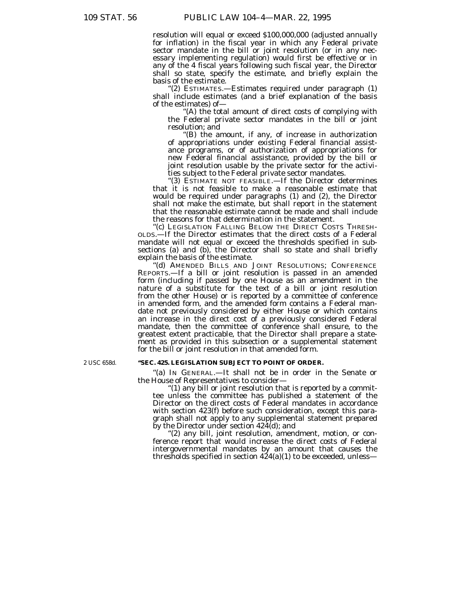resolution will equal or exceed \$100,000,000 (adjusted annually for inflation) in the fiscal year in which any Federal private sector mandate in the bill or joint resolution (or in any necessary implementing regulation) would first be effective or in any of the 4 fiscal years following such fiscal year, the Director shall so state, specify the estimate, and briefly explain the basis of the estimate.

''(2) ESTIMATES.—Estimates required under paragraph (1) shall include estimates (and a brief explanation of the basis of the estimates) of—

''(A) the total amount of direct costs of complying with the Federal private sector mandates in the bill or joint resolution; and

'(B) the amount, if any, of increase in authorization of appropriations under existing Federal financial assistance programs, or of authorization of appropriations for new Federal financial assistance, provided by the bill or joint resolution usable by the private sector for the activities subject to the Federal private sector mandates.

''(3) ESTIMATE NOT FEASIBLE.—If the Director determines that it is not feasible to make a reasonable estimate that would be required under paragraphs (1) and (2), the Director shall not make the estimate, but shall report in the statement that the reasonable estimate cannot be made and shall include the reasons for that determination in the statement.

''(c) LEGISLATION FALLING BELOW THE DIRECT COSTS THRESH-OLDS.—If the Director estimates that the direct costs of a Federal mandate will not equal or exceed the thresholds specified in subsections (a) and (b), the Director shall so state and shall briefly explain the basis of the estimate.

'(d) AMENDED BILLS AND JOINT RESOLUTIONS; CONFERENCE REPORTS.—If a bill or joint resolution is passed in an amended form (including if passed by one House as an amendment in the nature of a substitute for the text of a bill or joint resolution from the other House) or is reported by a committee of conference in amended form, and the amended form contains a Federal mandate not previously considered by either House or which contains an increase in the direct cost of a previously considered Federal mandate, then the committee of conference shall ensure, to the greatest extent practicable, that the Director shall prepare a statement as provided in this subsection or a supplemental statement for the bill or joint resolution in that amended form.

#### **''SEC. 425. LEGISLATION SUBJECT TO POINT OF ORDER.**

''(a) IN GENERAL.—It shall not be in order in the Senate or the House of Representatives to consider—

''(1) any bill or joint resolution that is reported by a committee unless the committee has published a statement of the Director on the direct costs of Federal mandates in accordance with section 423(f) before such consideration, except this paragraph shall not apply to any supplemental statement prepared by the Director under section 424(d); and

''(2) any bill, joint resolution, amendment, motion, or conference report that would increase the direct costs of Federal intergovernmental mandates by an amount that causes the thresholds specified in section  $4\tilde{2}4(a)(1)$  to be exceeded, unless—

2 USC 658d.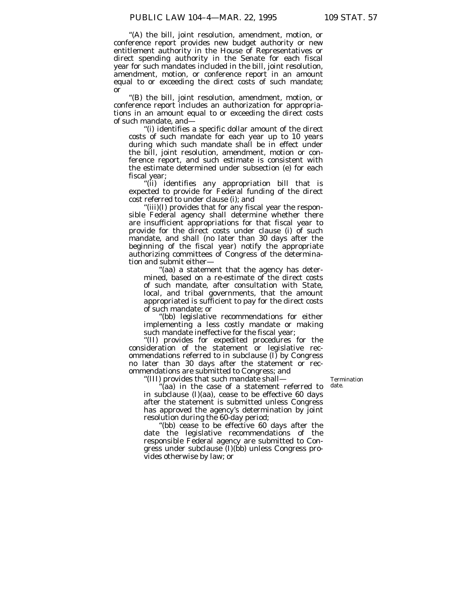''(A) the bill, joint resolution, amendment, motion, or conference report provides new budget authority or new entitlement authority in the House of Representatives or direct spending authority in the Senate for each fiscal year for such mandates included in the bill, joint resolution, amendment, motion, or conference report in an amount equal to or exceeding the direct costs of such mandate; or

''(B) the bill, joint resolution, amendment, motion, or conference report includes an authorization for appropriations in an amount equal to or exceeding the direct costs of such mandate, and—

''(i) identifies a specific dollar amount of the direct costs of such mandate for each year up to 10 years during which such mandate shall be in effect under the bill, joint resolution, amendment, motion or conference report, and such estimate is consistent with the estimate determined under subsection (e) for each fiscal year;

''(ii) identifies any appropriation bill that is expected to provide for Federal funding of the direct cost referred to under clause (i); and

''(iii)(I) provides that for any fiscal year the responsible Federal agency shall determine whether there are insufficient appropriations for that fiscal year to provide for the direct costs under clause (i) of such mandate, and shall (no later than 30 days after the beginning of the fiscal year) notify the appropriate authorizing committees of Congress of the determination and submit either—

'(aa) a statement that the agency has determined, based on a re-estimate of the direct costs of such mandate, after consultation with State, local, and tribal governments, that the amount appropriated is sufficient to pay for the direct costs of such mandate; or

''(bb) legislative recommendations for either implementing a less costly mandate or making such mandate ineffective for the fiscal year;

''(II) provides for expedited procedures for the consideration of the statement or legislative recommendations referred to in subclause  $(I)$  by Congress no later than 30 days after the statement or recommendations are submitted to Congress; and

''(III) provides that such mandate shall—

'(aa) in the case of a statement referred to in subclause  $(I)(aa)$ , cease to be effective 60 days after the statement is submitted unless Congress has approved the agency's determination by joint resolution during the 60-day period;

'(bb) cease to be effective 60 days after the date the legislative recommendations of the responsible Federal agency are submitted to Congress under subclause (I)(bb) unless Congress provides otherwise by law; or

Termination date.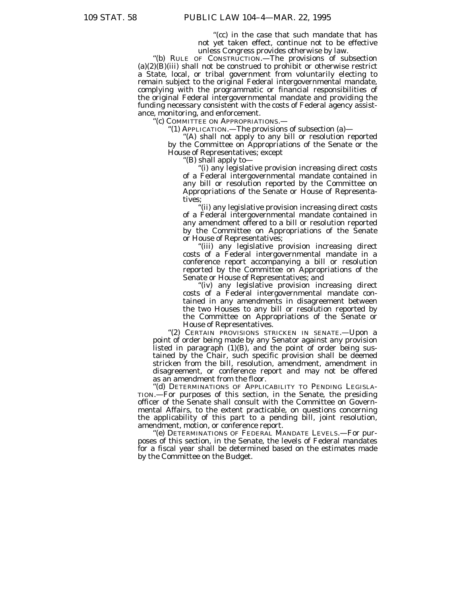''(cc) in the case that such mandate that has not yet taken effect, continue not to be effective unless Congress provides otherwise by law.

"(b) RULE OF CONSTRUCTION.—The provisions of subsection  $(a)(2)(B)(iii)$  shall not be construed to prohibit or otherwise restrict a State, local, or tribal government from voluntarily electing to remain subject to the original Federal intergovernmental mandate, complying with the programmatic or financial responsibilities of the original Federal intergovernmental mandate and providing the funding necessary consistent with the costs of Federal agency assistance, monitoring, and enforcement.

''(c) COMMITTEE ON APPROPRIATIONS.—

''(1) APPLICATION.—The provisions of subsection (a)—

''(A) shall not apply to any bill or resolution reported by the Committee on Appropriations of the Senate or the House of Representatives; except

''(B) shall apply to—

''(i) any legislative provision increasing direct costs of a Federal intergovernmental mandate contained in any bill or resolution reported by the Committee on Appropriations of the Senate or House of Representatives;

''(ii) any legislative provision increasing direct costs of a Federal intergovernmental mandate contained in any amendment offered to a bill or resolution reported by the Committee on Appropriations of the Senate or House of Representatives;

''(iii) any legislative provision increasing direct costs of a Federal intergovernmental mandate in a conference report accompanying a bill or resolution reported by the Committee on Appropriations of the Senate or House of Representatives; and

''(iv) any legislative provision increasing direct costs of a Federal intergovernmental mandate contained in any amendments in disagreement between the two Houses to any bill or resolution reported by the Committee on Appropriations of the Senate or House of Representatives.

''(2) CERTAIN PROVISIONS STRICKEN IN SENATE.—Upon a point of order being made by any Senator against any provision listed in paragraph  $(1)(B)$ , and the point of order being sustained by the Chair, such specific provision shall be deemed stricken from the bill, resolution, amendment, amendment in disagreement, or conference report and may not be offered as an amendment from the floor.

"(d) DETERMINATIONS OF APPLICABILITY TO PENDING LEGISLA-TION.—For purposes of this section, in the Senate, the presiding officer of the Senate shall consult with the Committee on Governmental Affairs, to the extent practicable, on questions concerning the applicability of this part to a pending bill, joint resolution, amendment, motion, or conference report.

''(e) DETERMINATIONS OF FEDERAL MANDATE LEVELS.—For purposes of this section, in the Senate, the levels of Federal mandates for a fiscal year shall be determined based on the estimates made by the Committee on the Budget.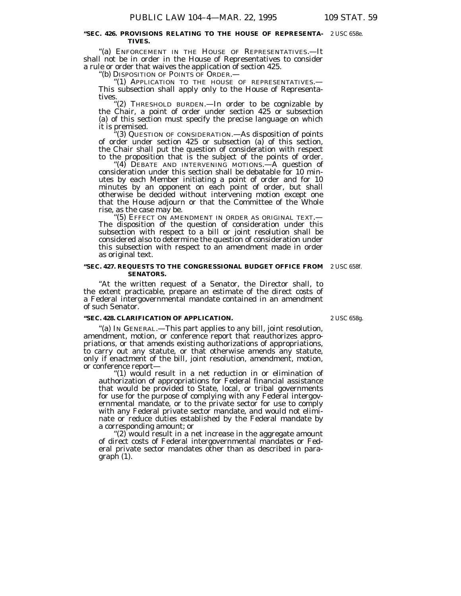#### **''SEC. 426. PROVISIONS RELATING TO THE HOUSE OF REPRESENTA-**2 USC 658e.**TIVES.**

''(a) ENFORCEMENT IN THE HOUSE OF REPRESENTATIVES.—It shall not be in order in the House of Representatives to consider a rule or order that waives the application of section 425.

''(b) DISPOSITION OF POINTS OF ORDER.—

"(1) APPLICATION TO THE HOUSE OF REPRESENTATIVES.-This subsection shall apply only to the House of Representatives.

''(2) THRESHOLD BURDEN.—In order to be cognizable by the Chair, a point of order under section 425 or subsection (a) of this section must specify the precise language on which it is premised.

(3) QUESTION OF CONSIDERATION.—As disposition of points of order under section 425 or subsection (a) of this section, the Chair shall put the question of consideration with respect to the proposition that is the subject of the points of order.

"(4) DEBATE AND INTERVENING MOTIONS.—A question of consideration under this section shall be debatable for 10 minutes by each Member initiating a point of order and for 10 minutes by an opponent on each point of order, but shall otherwise be decided without intervening motion except one that the House adjourn or that the Committee of the Whole rise, as the case may be.

'(5) EFFECT ON AMENDMENT IN ORDER AS ORIGINAL TEXT.— The disposition of the question of consideration under this subsection with respect to a bill or joint resolution shall be considered also to determine the question of consideration under this subsection with respect to an amendment made in order as original text.

#### **''SEC. 427. REQUESTS TO THE CONGRESSIONAL BUDGET OFFICE FROM** 2 USC 658f. **SENATORS.**

''At the written request of a Senator, the Director shall, to the extent practicable, prepare an estimate of the direct costs of a Federal intergovernmental mandate contained in an amendment of such Senator.

#### **''SEC. 428. CLARIFICATION OF APPLICATION.**

''(a) IN GENERAL.—This part applies to any bill, joint resolution, amendment, motion, or conference report that reauthorizes appropriations, or that amends existing authorizations of appropriations, to carry out any statute, or that otherwise amends any statute, only if enactment of the bill, joint resolution, amendment, motion, or conference report—

''(1) would result in a net reduction in or elimination of authorization of appropriations for Federal financial assistance that would be provided to State, local, or tribal governments for use for the purpose of complying with any Federal intergovernmental mandate, or to the private sector for use to comply with any Federal private sector mandate, and would not eliminate or reduce duties established by the Federal mandate by a corresponding amount; or

"(2) would result in a net increase in the aggregate amount of direct costs of Federal intergovernmental mandates or Federal private sector mandates other than as described in paragraph (1).

2 USC 658g.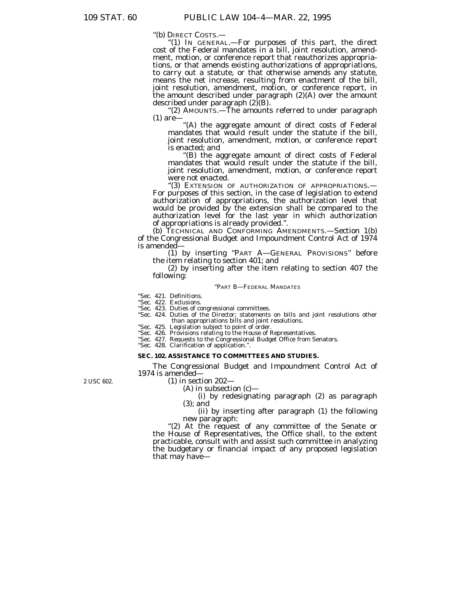''(b) DIRECT COSTS.— ''(1) IN GENERAL.—For purposes of this part, the direct cost of the Federal mandates in a bill, joint resolution, amendment, motion, or conference report that reauthorizes appropriations, or that amends existing authorizations of appropriations, to carry out a statute, or that otherwise amends any statute, means the net increase, resulting from enactment of the bill, joint resolution, amendment, motion, or conference report, in the amount described under paragraph (2)(A) over the amount

described under paragraph  $(2)(B)$ .<br>
"(2) AMOUNTS.—The amounts referred to under paragraph (1) are—

''(A) the aggregate amount of direct costs of Federal mandates that would result under the statute if the bill, joint resolution, amendment, motion, or conference report is enacted; and

'(B) the aggregate amount of direct costs of Federal mandates that would result under the statute if the bill, joint resolution, amendment, motion, or conference report were not enacted.

''(3) EXTENSION OF AUTHORIZATION OF APPROPRIATIONS.— For purposes of this section, in the case of legislation to extend authorization of appropriations, the authorization level that would be provided by the extension shall be compared to the authorization level for the last year in which authorization of appropriations is already provided.''.

(b) TECHNICAL AND CONFORMING AMENDMENTS.—Section 1(b) of the Congressional Budget and Impoundment Control Act of 1974 is amended—

(1) by inserting ''PART A—GENERAL PROVISIONS'' before the item relating to section 401; and

(2) by inserting after the item relating to section 407 the following:

#### ''PART B—FEDERAL MANDATES

''Sec. 421. Definitions.

''Sec. 422. Exclusions. ''Sec. 423. Duties of congressional committees.

''Sec. 424. Duties of the Director; statements on bills and joint resolutions other than appropriations bills and joint resolutions.

''Sec. 425. Legislation subject to point of order.

- ''Sec. 426. Provisions relating to the House of Representatives.
- "Sec. 427. Requests to the Congressional Budget Office from Senators.
- ''Sec. 428. Clarification of application.''.

#### **SEC. 102. ASSISTANCE TO COMMITTEES AND STUDIES.**

The Congressional Budget and Impoundment Control Act of 1974 is amended— (1) in section 202—

2 USC 602.

(A) in subsection (c)—

(i) by redesignating paragraph (2) as paragraph (3); and

(ii) by inserting after paragraph (1) the following new paragraph:

"(2) At the request of any committee of the Senate or the House of Representatives, the Office shall, to the extent practicable, consult with and assist such committee in analyzing the budgetary or financial impact of any proposed legislation that may have—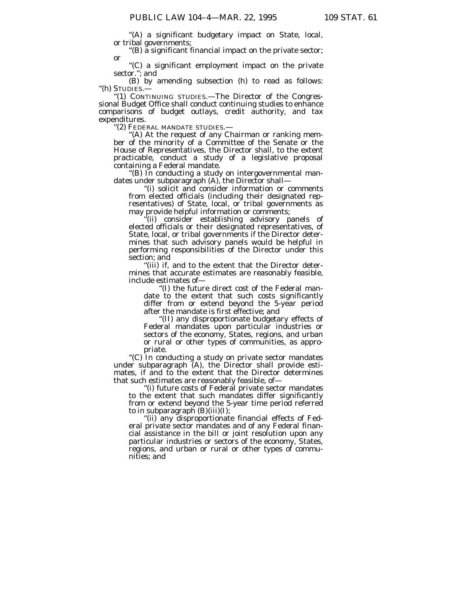''(A) a significant budgetary impact on State, local, or tribal governments;

''(B) a significant financial impact on the private sector; or

''(C) a significant employment impact on the private sector.''; and

(B) by amending subsection (h) to read as follows: ''(h) STUDIES.—

''(1) CONTINUING STUDIES.—The Director of the Congressional Budget Office shall conduct continuing studies to enhance comparisons of budget outlays, credit authority, and tax expenditures.

''(2) FEDERAL MANDATE STUDIES.—

'(A) At the request of any Chairman or ranking member of the minority of a Committee of the Senate or the House of Representatives, the Director shall, to the extent practicable, conduct a study of a legislative proposal containing a Federal mandate.

''(B) In conducting a study on intergovernmental mandates under subparagraph (A), the Director shall—

''(i) solicit and consider information or comments from elected officials (including their designated representatives) of State, local, or tribal governments as may provide helpful information or comments;

fii) consider establishing advisory panels of elected officials or their designated representatives, of State, local, or tribal governments if the Director determines that such advisory panels would be helpful in performing responsibilities of the Director under this section; and

'(iii) if, and to the extent that the Director determines that accurate estimates are reasonably feasible, include estimates of—

''(I) the future direct cost of the Federal mandate to the extent that such costs significantly differ from or extend beyond the 5-year period after the mandate is first effective; and

''(II) any disproportionate budgetary effects of Federal mandates upon particular industries or sectors of the economy, States, regions, and urban or rural or other types of communities, as appropriate.

''(C) In conducting a study on private sector mandates under subparagraph (A), the Director shall provide estimates, if and to the extent that the Director determines that such estimates are reasonably feasible, of—

''(i) future costs of Federal private sector mandates to the extent that such mandates differ significantly from or extend beyond the 5-year time period referred to in subparagraph  $(B)(iii)(I);$ 

''(ii) any disproportionate financial effects of Federal private sector mandates and of any Federal financial assistance in the bill or joint resolution upon any particular industries or sectors of the economy, States, regions, and urban or rural or other types of communities; and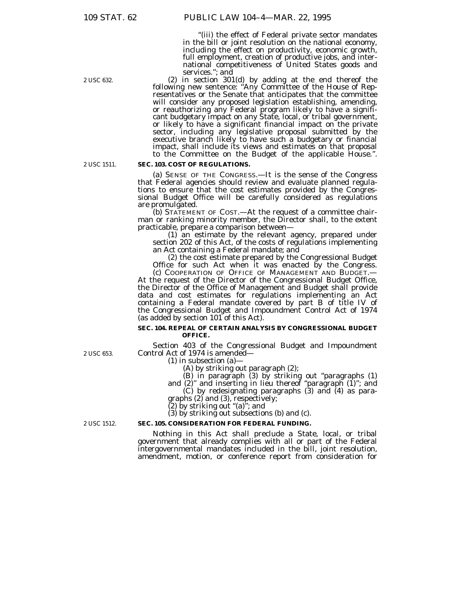''(iii) the effect of Federal private sector mandates in the bill or joint resolution on the national economy, including the effect on productivity, economic growth, full employment, creation of productive jobs, and international competitiveness of United States goods and services.''; and

(2) in section 301(d) by adding at the end thereof the following new sentence: ''Any Committee of the House of Representatives or the Senate that anticipates that the committee will consider any proposed legislation establishing, amending, or reauthorizing any Federal program likely to have a significant budgetary impact on any State, local, or tribal government, or likely to have a significant financial impact on the private sector, including any legislative proposal submitted by the executive branch likely to have such a budgetary or financial impact, shall include its views and estimates on that proposal to the Committee on the Budget of the applicable House.''.

#### **SEC. 103. COST OF REGULATIONS.**

(a) SENSE OF THE CONGRESS.—It is the sense of the Congress that Federal agencies should review and evaluate planned regulations to ensure that the cost estimates provided by the Congressional Budget Office will be carefully considered as regulations are promulgated.

(b) STATEMENT OF COST.—At the request of a committee chairman or ranking minority member, the Director shall, to the extent practicable, prepare a comparison between—

(1) an estimate by the relevant agency, prepared under section 202 of this Act, of the costs of regulations implementing<br>an Act containing a Federal mandate; and

(2) the cost estimate prepared by the Congressional Budget Office for such Act when it was enacted by the Congress.<br>(c) COOPERATION OF OFFICE OF MANAGEMENT AND BUDGET.

At the request of the Director of the Congressional Budget Office, the Director of the Office of Management and Budget shall provide data and cost estimates for regulations implementing an Act containing a Federal mandate covered by part B of title IV of the Congressional Budget and Impoundment Control Act of 1974 (as added by section 101 of this Act).

#### **SEC. 104. REPEAL OF CERTAIN ANALYSIS BY CONGRESSIONAL BUDGET OFFICE.**

Section 403 of the Congressional Budget and Impoundment Control Act of 1974 is amended—

 $(1)$  in subsection  $(a)$ -

(A) by striking out paragraph (2);

(B) in paragraph (3) by striking out ''paragraphs (1)

and (2)'' and inserting in lieu thereof ''paragraph (1)''; and  $(C)$  by redesignating paragraphs  $(3)$  and  $(4)$  as para-

graphs (2) and (3), respectively;

 $(2)$  by striking out " $(a)$ "; and

(3) by striking out subsections (b) and (c).

2 USC 1512.

2 USC 653.

#### **SEC. 105. CONSIDERATION FOR FEDERAL FUNDING.**

Nothing in this Act shall preclude a State, local, or tribal government that already complies with all or part of the Federal intergovernmental mandates included in the bill, joint resolution, amendment, motion, or conference report from consideration for

2 USC 632.

2 USC 1511.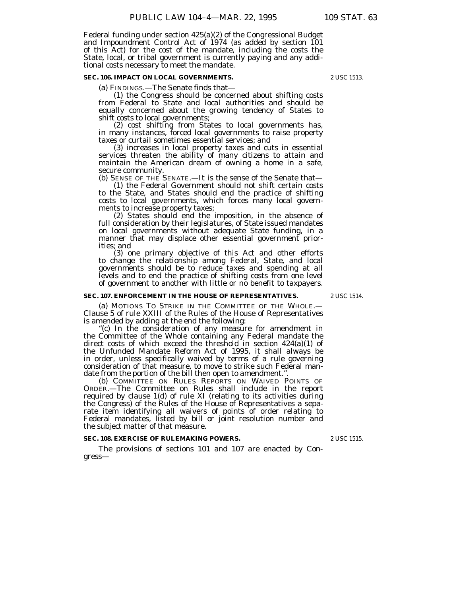Federal funding under section 425(a)(2) of the Congressional Budget and Impoundment Control Act of 1974 (as added by section 101 of this Act) for the cost of the mandate, including the costs the State, local, or tribal government is currently paying and any additional costs necessary to meet the mandate.

#### **SEC. 106. IMPACT ON LOCAL GOVERNMENTS.**

(a) FINDINGS.—The Senate finds that—

(1) the Congress should be concerned about shifting costs from Federal to State and local authorities and should be equally concerned about the growing tendency of States to shift costs to local governments;

(2) cost shifting from States to local governments has, in many instances, forced local governments to raise property taxes or curtail sometimes essential services; and

(3) increases in local property taxes and cuts in essential services threaten the ability of many citizens to attain and maintain the American dream of owning a home in a safe, secure community.

(b) SENSE OF THE SENATE.—It is the sense of the Senate that—

(1) the Federal Government should not shift certain costs to the State, and States should end the practice of shifting costs to local governments, which forces many local governments to increase property taxes;

(2) States should end the imposition, in the absence of full consideration by their legislatures, of State issued mandates on local governments without adequate State funding, in a manner that may displace other essential government priorities; and

(3) one primary objective of this Act and other efforts to change the relationship among Federal, State, and local governments should be to reduce taxes and spending at all levels and to end the practice of shifting costs from one level of government to another with little or no benefit to taxpayers.

#### **SEC. 107. ENFORCEMENT IN THE HOUSE OF REPRESENTATIVES.**

(a) MOTIONS TO STRIKE IN THE COMMITTEE OF THE WHOLE.— Clause 5 of rule XXIII of the Rules of the House of Representatives is amended by adding at the end the following:

''(c) In the consideration of any measure for amendment in the Committee of the Whole containing any Federal mandate the direct costs of which exceed the threshold in section  $424(a)(1)$  of the Unfunded Mandate Reform Act of 1995, it shall always be in order, unless specifically waived by terms of a rule governing consideration of that measure, to move to strike such Federal mandate from the portion of the bill then open to amendment.''.

(b) COMMITTEE ON RULES REPORTS ON WAIVED POINTS OF ORDER.—The Committee on Rules shall include in the report required by clause 1(d) of rule XI (relating to its activities during the Congress) of the Rules of the House of Representatives a separate item identifying all waivers of points of order relating to Federal mandates, listed by bill or joint resolution number and the subject matter of that measure.

#### **SEC. 108. EXERCISE OF RULEMAKING POWERS.**

The provisions of sections 101 and 107 are enacted by Congress—

2 USC 1514.

2 USC 1515.

2 USC 1513.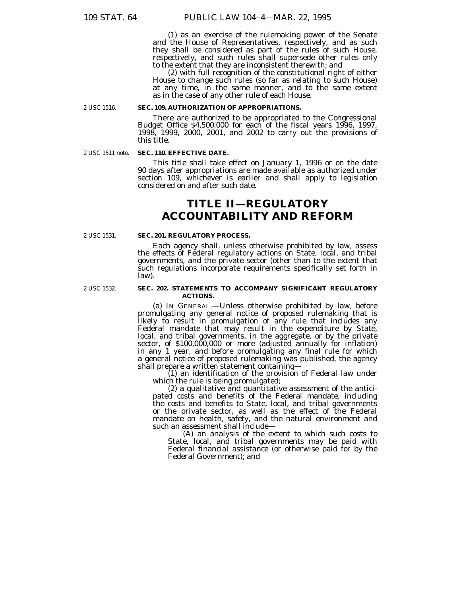(1) as an exercise of the rulemaking power of the Senate and the House of Representatives, respectively, and as such they shall be considered as part of the rules of such House, respectively, and such rules shall supersede other rules only to the extent that they are inconsistent therewith; and

(2) with full recognition of the constitutional right of either House to change such rules (so far as relating to such House) at any time, in the same manner, and to the same extent as in the case of any other rule of each House.

2 USC 1516.

#### **SEC. 109. AUTHORIZATION OF APPROPRIATIONS.**

There are authorized to be appropriated to the Congressional Budget Office \$4,500,000 for each of the fiscal years 1996, 1997, 1998, 1999, 2000, 2001, and 2002 to carry out the provisions of this title.

2 USC 1511 note.

#### **SEC. 110. EFFECTIVE DATE.**

This title shall take effect on January 1, 1996 or on the date 90 days after appropriations are made available as authorized under section 109, whichever is earlier and shall apply to legislation considered on and after such date.

### **TITLE II—REGULATORY ACCOUNTABILITY AND REFORM**

2 USC 1531.

#### **SEC. 201. REGULATORY PROCESS.**

Each agency shall, unless otherwise prohibited by law, assess the effects of Federal regulatory actions on State, local, and tribal governments, and the private sector (other than to the extent that such regulations incorporate requirements specifically set forth in law).

2 USC 1532.

#### **SEC. 202. STATEMENTS TO ACCOMPANY SIGNIFICANT REGULATORY ACTIONS.**

(a) IN GENERAL.—Unless otherwise prohibited by law, before promulgating any general notice of proposed rulemaking that is likely to result in promulgation of any rule that includes any Federal mandate that may result in the expenditure by State, local, and tribal governments, in the aggregate, or by the private sector, of \$100,000,000 or more (adjusted annually for inflation) in any 1 year, and before promulgating any final rule for which a general notice of proposed rulemaking was published, the agency shall prepare a written statement containing-

(1) an identification of the provision of Federal law under which the rule is being promulgated;

(2) a qualitative and quantitative assessment of the anticipated costs and benefits of the Federal mandate, including the costs and benefits to State, local, and tribal governments or the private sector, as well as the effect of the Federal mandate on health, safety, and the natural environment and such an assessment shall include—

(A) an analysis of the extent to which such costs to State, local, and tribal governments may be paid with Federal financial assistance (or otherwise paid for by the Federal Government); and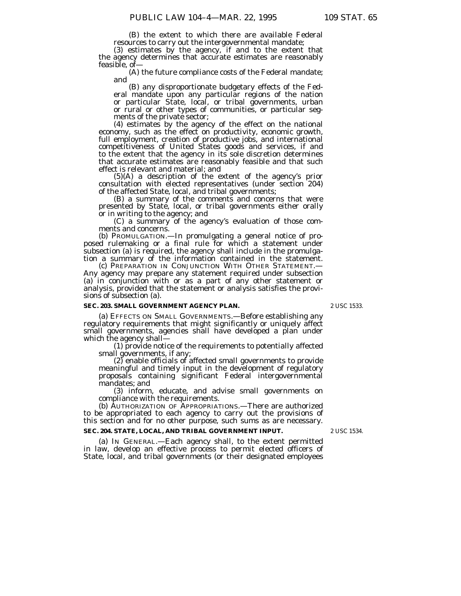(B) the extent to which there are available Federal

resources to carry out the intergovernmental mandate;<br>(3) estimates by the agency, if and to the extent that the agency determines that accurate estimates are reasonably feasible, of—

(A) the future compliance costs of the Federal mandate; and

(B) any disproportionate budgetary effects of the Fed- eral mandate upon any particular regions of the nation or particular State, local, or tribal governments, urban or rural or other types of communities, or particular segments of the private sector;<br>(4) estimates by the agency of the effect on the national

economy, such as the effect on productivity, economic growth, full employment, creation of productive jobs, and international competitiveness of United States goods and services, if and to the extent that the agency in its sole discretion determines that accurate estimates are reasonably feasible and that such effect is relevant and material; and

(5)(A) a description of the extent of the agency's prior consultation with elected representatives (under section 204)

of the affected State, local, and tribal governments;<br>
(B) a summary of the comments and concerns that were<br>
presented by State, local, or tribal governments either orally<br>
or in writing to the agency; and

(C) a summary of the agency's evaluation of those com-<br>ments and concerns.

(b) PROMULGATION.—In promulgating a general notice of pro- posed rulemaking or a final rule for which a statement under subsection (a) is required, the agency shall include in the promulgation a summary of the information contained in the statement.

tion a summary of the information contained in the statement. (c) PREPARATION IN CONJUNCTION WITH OTHER STATEMENT.— Any agency may prepare any statement required under subsection (a) in conjunction with or as a part of any other statement or analysis, provided that the statement or analysis satisfies the provisions of subsection (a).

#### **SEC. 203. SMALL GOVERNMENT AGENCY PLAN.**

2 USC 1533.

(a) EFFECTS ON SMALL GOVERNMENTS.—Before establishing any regulatory requirements that might significantly or uniquely affect small governments, agencies shall have developed a plan under which the agency shall—

(1) provide notice of the requirements to potentially affected<br>small governments, if any;<br>(2) enable officials of affected small governments to provide<br>meaningful and timely input in the development of regulatory

proposals containing significant Federal intergovernmental mandates; and

(3) inform, educate, and advise small governments on compliance with the requirements.

(b) AUTHORIZATION OF APPROPRIATIONS.—There are authorized to be appropriated to each agency to carry out the provisions of this section and for no other purpose, such sums as are necessary.

#### **SEC. 204. STATE, LOCAL, AND TRIBAL GOVERNMENT INPUT.**

2 USC 1534.

(a) IN GENERAL.—Each agency shall, to the extent permitted in law, develop an effective process to permit elected officers of State, local, and tribal governments (or their designated employees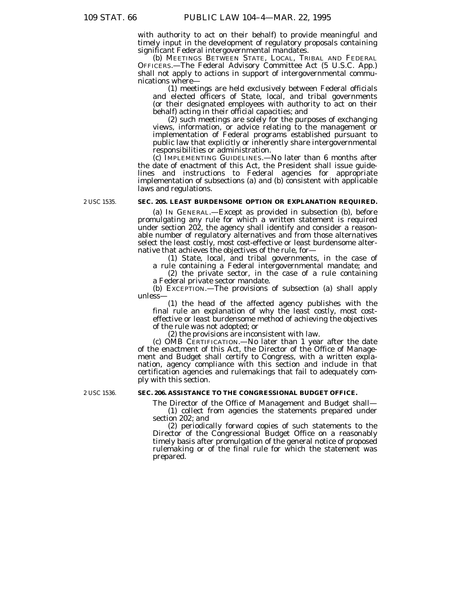with authority to act on their behalf) to provide meaningful and timely input in the development of regulatory proposals containing significant Federal intergovernmental mandates.

(b) MEETINGS BETWEEN STATE, LOCAL, TRIBAL AND FEDERAL OFFICERS.—The Federal Advisory Committee Act (5 U.S.C. App.) shall not apply to actions in support of intergovernmental communications where—

(1) meetings are held exclusively between Federal officials and elected officers of State, local, and tribal governments (or their designated employees with authority to act on their behalf) acting in their official capacities; and

(2) such meetings are solely for the purposes of exchanging views, information, or advice relating to the management or implementation of Federal programs established pursuant to public law that explicitly or inherently share intergovernmental responsibilities or administration.

(c) IMPLEMENTING GUIDELINES.—No later than 6 months after the date of enactment of this Act, the President shall issue guidelines and instructions to Federal agencies for appropriate implementation of subsections (a) and (b) consistent with applicable laws and regulations.

2 USC 1535.

### **SEC. 205. LEAST BURDENSOME OPTION OR EXPLANATION REQUIRED.**

(a) IN GENERAL.—Except as provided in subsection (b), before promulgating any rule for which a written statement is required under section 202, the agency shall identify and consider a reasonable number of regulatory alternatives and from those alternatives select the least costly, most cost-effective or least burdensome alternative that achieves the objectives of the rule, for-

(1) State, local, and tribal governments, in the case of

a rule containing a Federal intergovernmental mandate; and (2) the private sector, in the case of a rule containing a Federal private sector mandate.

(b) EXCEPTION.—The provisions of subsection (a) shall apply unless—

(1) the head of the affected agency publishes with the final rule an explanation of why the least costly, most costeffective or least burdensome method of achieving the objectives of the rule was not adopted; or

(2) the provisions are inconsistent with law.

(c) OMB CERTIFICATION.—No later than 1 year after the date of the enactment of this Act, the Director of the Office of Management and Budget shall certify to Congress, with a written explanation, agency compliance with this section and include in that certification agencies and rulemakings that fail to adequately comply with this section.

2 USC 1536.

#### **SEC. 206. ASSISTANCE TO THE CONGRESSIONAL BUDGET OFFICE.**

The Director of the Office of Management and Budget shall— (1) collect from agencies the statements prepared under section 202; and

(2) periodically forward copies of such statements to the Director of the Congressional Budget Office on a reasonably timely basis after promulgation of the general notice of proposed rulemaking or of the final rule for which the statement was prepared.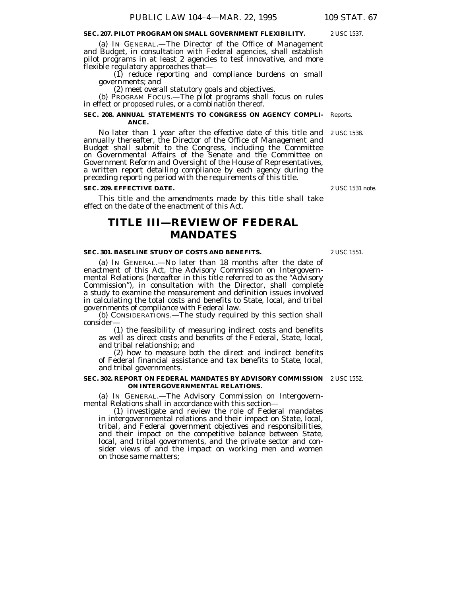#### **SEC. 207. PILOT PROGRAM ON SMALL GOVERNMENT FLEXIBILITY.**

(a) IN GENERAL.—The Director of the Office of Management and Budget, in consultation with Federal agencies, shall establish pilot programs in at least 2 agencies to test innovative, and more flexible regulatory approaches that—

(1) reduce reporting and compliance burdens on small governments; and

(2) meet overall statutory goals and objectives.

(b) PROGRAM FOCUS.—The pilot programs shall focus on rules in effect or proposed rules, or a combination thereof.

#### **SEC. 208. ANNUAL STATEMENTS TO CONGRESS ON AGENCY COMPLI- Reports. ANCE.**

No later than 1 year after the effective date of this title and 2 USC 1538. annually thereafter, the Director of the Office of Management and Budget shall submit to the Congress, including the Committee on Governmental Affairs of the Senate and the Committee on Government Reform and Oversight of the House of Representatives, a written report detailing compliance by each agency during the preceding reporting period with the requirements of this title.

#### **SEC. 209. EFFECTIVE DATE.**

This title and the amendments made by this title shall take effect on the date of the enactment of this Act.

# **TITLE III—REVIEW OF FEDERAL MANDATES**

#### **SEC. 301. BASELINE STUDY OF COSTS AND BENEFITS.**

(a) IN GENERAL.—No later than 18 months after the date of enactment of this Act, the Advisory Commission on Intergovernmental Relations (hereafter in this title referred to as the ''Advisory Commission"), in consultation with the Director, shall complete a study to examine the measurement and definition issues involved in calculating the total costs and benefits to State, local, and tribal governments of compliance with Federal law.

(b) CONSIDERATIONS.—The study required by this section shall consider—

(1) the feasibility of measuring indirect costs and benefits as well as direct costs and benefits of the Federal, State, local, and tribal relationship; and

(2) how to measure both the direct and indirect benefits of Federal financial assistance and tax benefits to State, local, and tribal governments.

#### **SEC. 302. REPORT ON FEDERAL MANDATES BY ADVISORY COMMISSION** 2 USC 1552. **ON INTERGOVERNMENTAL RELATIONS.**

(a) IN GENERAL.—The Advisory Commission on Intergovernmental Relations shall in accordance with this section—

(1) investigate and review the role of Federal mandates in intergovernmental relations and their impact on State, local, tribal, and Federal government objectives and responsibilities, and their impact on the competitive balance between State, local, and tribal governments, and the private sector and consider views of and the impact on working men and women on those same matters;

2 USC 1551.

2 USC 1531 note.

2 USC 1537.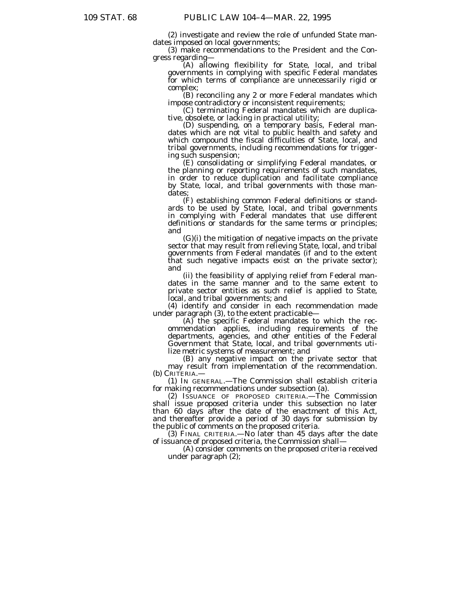(2) investigate and review the role of unfunded State man-

(3) make recommendations to the President and the Congress regarding—

 $(A)$  allowing flexibility for State, local, and tribal governments in complying with specific Federal mandates for which terms of compliance are unnecessarily rigid or complex;

(B) reconciling any 2 or more Federal mandates which impose contradictory or inconsistent requirements;

(C) terminating Federal mandates which are duplicative, obsolete, or lacking in practical utility;

(D) suspending, on a temporary basis, Federal mandates which are not vital to public health and safety and which compound the fiscal difficulties of State, local, and tribal governments, including recommendations for triggering such suspension;

(E) consolidating or simplifying Federal mandates, or the planning or reporting requirements of such mandates, in order to reduce duplication and facilitate compliance by State, local, and tribal governments with those mandates

(F) establishing common Federal definitions or standards to be used by State, local, and tribal governments in complying with Federal mandates that use different definitions or standards for the same terms or principles; and

(G)(i) the mitigation of negative impacts on the private sector that may result from relieving State, local, and tribal governments from Federal mandates (if and to the extent that such negative impacts exist on the private sector); and

(ii) the feasibility of applying relief from Federal mandates in the same manner and to the same extent to private sector entities as such relief is applied to State, local, and tribal governments; and

(4) identify and consider in each recommendation made under paragraph (3), to the extent practicable—

(A) the specific Federal mandates to which the recommendation applies, including requirements of the departments, agencies, and other entities of the Federal Government that State, local, and tribal governments utilize metric systems of measurement; and

(B) any negative impact on the private sector that may result from implementation of the recommendation. (b) CRITERIA.—

(1) IN GENERAL.—The Commission shall establish criteria for making recommendations under subsection (a).

(2) ISSUANCE OF PROPOSED CRITERIA.—The Commission shall issue proposed criteria under this subsection no later than 60 days after the date of the enactment of this Act, and thereafter provide a period of 30 days for submission by the public of comments on the proposed criteria.

(3) FINAL CRITERIA.—No later than 45 days after the date of issuance of proposed criteria, the Commission shall—

(A) consider comments on the proposed criteria received under paragraph (2);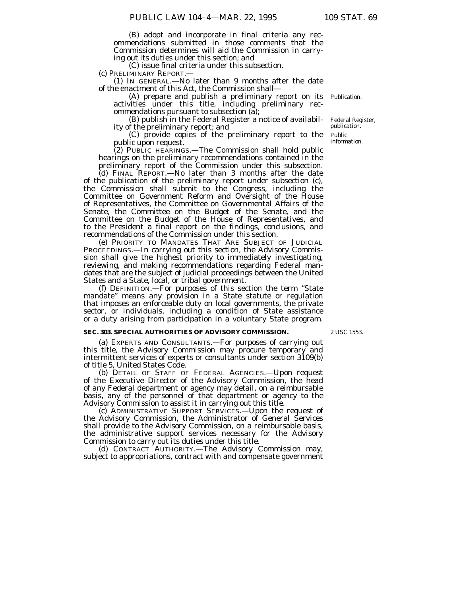(B) adopt and incorporate in final criteria any recommendations submitted in those comments that the Commission determines will aid the Commission in carrying out its duties under this section; and

(C) issue final criteria under this subsection.

(c) PRELIMINARY REPORT.—

(1) IN GENERAL.—No later than 9 months after the date of the enactment of this Act, the Commission shall—

(A) prepare and publish a preliminary report on its Publication.activities under this title, including preliminary recommendations pursuant to subsection (a);

(B) publish in the Federal Register a notice of availability of the preliminary report; and

(C) provide copies of the preliminary report to the public upon request.

(2) PUBLIC HEARINGS.—The Commission shall hold public hearings on the preliminary recommendations contained in the preliminary report of the Commission under this subsection.

 $(d)$  FINAL REPORT.—No later than 3 months after the date of the publication of the preliminary report under subsection (c), the Commission shall submit to the Congress, including the Committee on Government Reform and Oversight of the House of Representatives, the Committee on Governmental Affairs of the Senate, the Committee on the Budget of the Senate, and the Committee on the Budget of the House of Representatives, and to the President a final report on the findings, conclusions, and recommendations of the Commission under this section.

(e) PRIORITY TO MANDATES THAT ARE SUBJECT OF JUDICIAL PROCEEDINGS.—In carrying out this section, the Advisory Commission shall give the highest priority to immediately investigating, reviewing, and making recommendations regarding Federal mandates that are the subject of judicial proceedings between the United States and a State, local, or tribal government.

(f) DEFINITION.—For purposes of this section the term ''State mandate'' means any provision in a State statute or regulation that imposes an enforceable duty on local governments, the private sector, or individuals, including a condition of State assistance or a duty arising from participation in a voluntary State program.

#### **SEC. 303. SPECIAL AUTHORITIES OF ADVISORY COMMISSION.**

(a) EXPERTS AND CONSULTANTS.—For purposes of carrying out this title, the Advisory Commission may procure temporary and intermittent services of experts or consultants under section 3109(b) of title 5, United States Code.

(b) DETAIL OF STAFF OF FEDERAL AGENCIES.—Upon request of the Executive Director of the Advisory Commission, the head of any Federal department or agency may detail, on a reimbursable basis, any of the personnel of that department or agency to the Advisory Commission to assist it in carrying out this title.

(c) ADMINISTRATIVE SUPPORT SERVICES.—Upon the request of the Advisory Commission, the Administrator of General Services shall provide to the Advisory Commission, on a reimbursable basis, the administrative support services necessary for the Advisory Commission to carry out its duties under this title.

(d) CONTRACT AUTHORITY.—The Advisory Commission may, subject to appropriations, contract with and compensate government

Public information. Federal Register, publication.

2 USC 1553.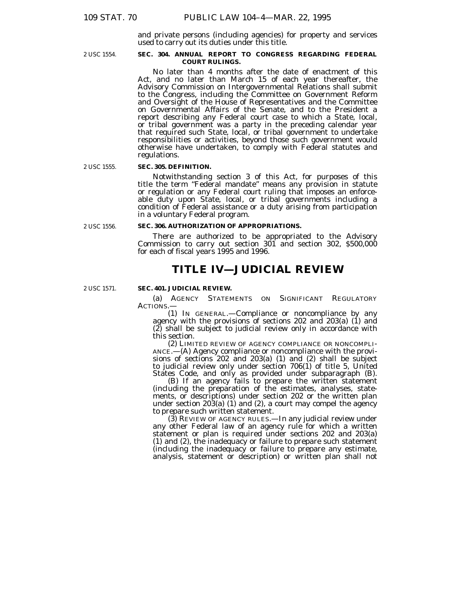and private persons (including agencies) for property and services used to carry out its duties under this title.

2 USC 1554.

#### **SEC. 304. ANNUAL REPORT TO CONGRESS REGARDING FEDERAL COURT RULINGS.**

No later than 4 months after the date of enactment of this Act, and no later than March 15 of each year thereafter, the Advisory Commission on Intergovernmental Relations shall submit to the Congress, including the Committee on Government Reform and Oversight of the House of Representatives and the Committee on Governmental Affairs of the Senate, and to the President a report describing any Federal court case to which a State, local, or tribal government was a party in the preceding calendar year that required such State, local, or tribal government to undertake responsibilities or activities, beyond those such government would otherwise have undertaken, to comply with Federal statutes and regulations.

#### **SEC. 305. DEFINITION.**

Notwithstanding section 3 of this Act, for purposes of this title the term ''Federal mandate'' means any provision in statute or regulation or any Federal court ruling that imposes an enforceable duty upon State, local, or tribal governments including a condition of Federal assistance or a duty arising from participation in a voluntary Federal program.

2 USC 1556.

2 USC 1555.

#### **SEC. 306. AUTHORIZATION OF APPROPRIATIONS.**

There are authorized to be appropriated to the Advisory Commission to carry out section  $301$  and section  $302$ ,  $$500,000$ for each of fiscal years 1995 and 1996.

### **TITLE IV—JUDICIAL REVIEW**

2 USC 1571.

#### **SEC. 401. JUDICIAL REVIEW.**

(a) AGENCY STATEMENTS ON SIGNIFICANT REGULATORY ACTIONS.—

(1) IN GENERAL.—Compliance or noncompliance by any agency with the provisions of sections 202 and 203(a) (1) and (2) shall be subject to judicial review only in accordance with this section.

(2) LIMITED REVIEW OF AGENCY COMPLIANCE OR NONCOMPLI-ANCE.—(A) Agency compliance or noncompliance with the provisions of sections 202 and 203(a) (1) and (2) shall be subject to judicial review only under section 706(1) of title 5, United States Code, and only as provided under subparagraph (B).

(B) If an agency fails to prepare the written statement (including the preparation of the estimates, analyses, statements, or descriptions) under section 202 or the written plan under section  $203(a)$  (1) and (2), a court may compel the agency to prepare such written statement.

(3) REVIEW OF AGENCY RULES.—In any judicial review under any other Federal law of an agency rule for which a written statement or plan is required under sections 202 and 203(a) (1) and (2), the inadequacy or failure to prepare such statement (including the inadequacy or failure to prepare any estimate, analysis, statement or description) or written plan shall not